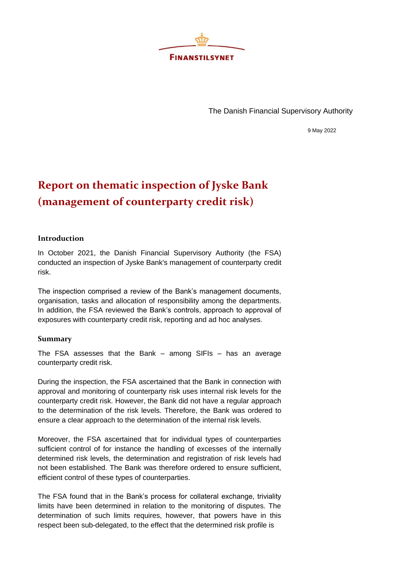

The Danish Financial Supervisory Authority

9 May 2022

## **Report on thematic inspection of Jyske Bank (management of counterparty credit risk)**

## **Introduction**

In October 2021, the Danish Financial Supervisory Authority (the FSA) conducted an inspection of Jyske Bank's management of counterparty credit risk.

The inspection comprised a review of the Bank's management documents, organisation, tasks and allocation of responsibility among the departments. In addition, the FSA reviewed the Bank's controls, approach to approval of exposures with counterparty credit risk, reporting and ad hoc analyses.

## **Summary**

The FSA assesses that the Bank – among SIFIs – has an average counterparty credit risk.

During the inspection, the FSA ascertained that the Bank in connection with approval and monitoring of counterparty risk uses internal risk levels for the counterparty credit risk. However, the Bank did not have a regular approach to the determination of the risk levels. Therefore, the Bank was ordered to ensure a clear approach to the determination of the internal risk levels.

Moreover, the FSA ascertained that for individual types of counterparties sufficient control of for instance the handling of excesses of the internally determined risk levels, the determination and registration of risk levels had not been established. The Bank was therefore ordered to ensure sufficient, efficient control of these types of counterparties.

The FSA found that in the Bank's process for collateral exchange, triviality limits have been determined in relation to the monitoring of disputes. The determination of such limits requires, however, that powers have in this respect been sub-delegated, to the effect that the determined risk profile is